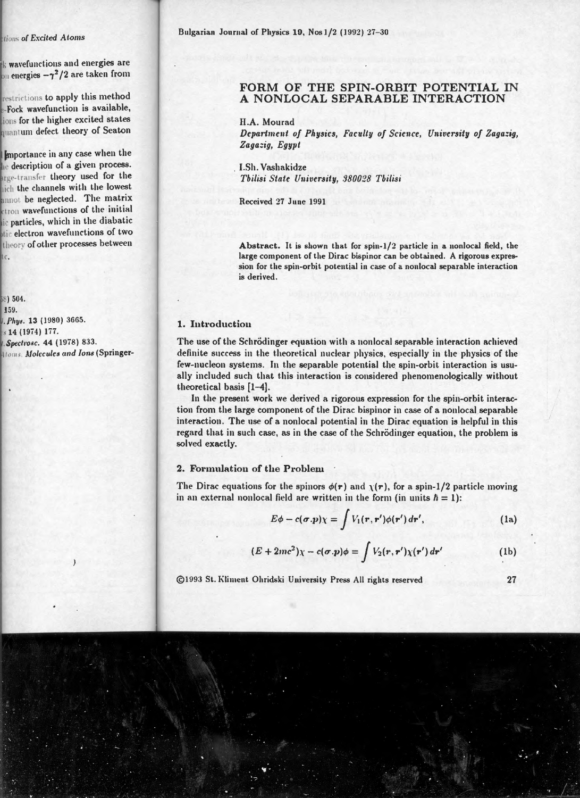# FORM OF THE SPIN-ORBIT POTENTIAL IN A NONLOCAL SEPARABLE INTERACTION

H.A. Mourad

Department of Physics, Faculty of Science, University of Zagazia. Zagazia, Egypt

**I.Sh. Vashakidze** Tbilisi State University. 380028 Tbilisi

Received 27 June 1991

Abstract. It is shown that for spin-1/2 particle in a nonlocal field, the large component of the Dirac bispinor can be obtained. A rigorous expression for the spin-orbit potential in case of a nonlocal separable interaction is derived.

### 1. Introduction

The use of the Schrödinger equation with a nonlocal separable interaction achieved definite success in the theoretical nuclear physics, especially in the physics of the few-nucleon systems. In the separable potential the spin-orbit interaction is usually included such that this interaction is considered phenomenologically without theoretical basis [1-4].

In the present work we derived a rigorous expression for the spin-orbit interaction from the large component of the Dirac bispinor in case of a nonlocal separable interaction. The use of a nonlocal potential in the Dirac equation is helpful in this regard that in such case, as in the case of the Schrödinger equation, the problem is solved exactly.

## 2. Formulation of the Problem

The Dirac equations for the spinors  $\phi(r)$  and  $\chi(r)$ , for a spin-1/2 particle moving in an external nonlocal field are written in the form (in units  $\hbar = 1$ ):

$$
E\phi - c(\sigma.p)\chi = \int V_1(\mathbf{r}, \mathbf{r}')\phi(\mathbf{r}') d\mathbf{r}', \qquad (1a)
$$

$$
(E+2mc^2)\chi-c(\boldsymbol{\sigma}.p)\phi=\int V_2(\boldsymbol{r},\boldsymbol{r}')\chi(\boldsymbol{r}') d\boldsymbol{r}'
$$
 (1b)

©1993 St. Kliment Ohridski University Press All rights reserved

 $27$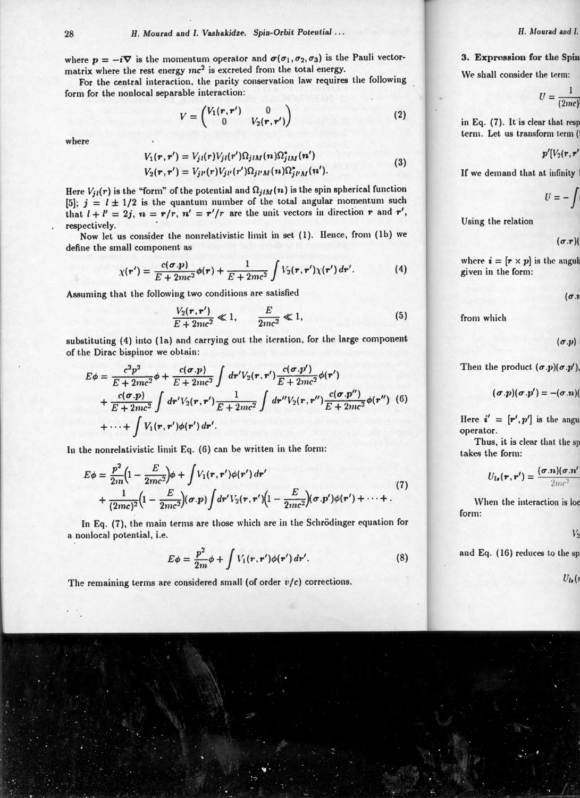where  $p = -i\nabla$  is the momentum operator and  $\sigma(\sigma_1, \sigma_2, \sigma_3)$  is the Pauli vectormatrix where the rest energy *mc3* is excreted from the total energy.

For the central interaction, the parity conservation law requires the following form for the nonlocal separable interaction:

$$
V = \begin{pmatrix} V_1(\mathbf{r}, \mathbf{r}') & 0 \\ 0 & V_2(\mathbf{r}, \mathbf{r}') \end{pmatrix}
$$
 (2)

where

$$
V_1(\mathbf{r}, \mathbf{r}') = V_{ji}(\mathbf{r}) V_{ji}(\mathbf{r}') \Omega_{jIM}(\mathbf{n}) \Omega_{jIM}^*(\mathbf{n}')
$$
  
\n
$$
V_2(\mathbf{r}, \mathbf{r}') = V_{ji}(\mathbf{r}) V_{ji}(\mathbf{r}') \Omega_{jUM}(\mathbf{n}) \Omega_{jUM}^*(\mathbf{n}').
$$
\n(3)

Here  $V_{il}(r)$  is the "form" of the potential and  $\Omega_{ilM}(n)$  is the spin spherical function [5];  $j = l \pm 1/2$  is the quantum number of the total angular momentum such that  $I + I' = 2j$ ,  $n = r/r$ ,  $n' = r'/r$  are the unit vectors in direction r and r', respectively.

Now let us consider the nonrelativistic limit in set (1). Hence, from (1b) we define the small component as

$$
\chi(\mathbf{r}') = \frac{c(\sigma \cdot \mathbf{p})}{E + 2mc^2} \phi(\mathbf{r}) + \frac{1}{E + 2mc^2} \int V_2(\mathbf{r}, \mathbf{r}') \chi(\mathbf{r}') d\mathbf{r}'. \tag{4}
$$

Assuming that the following two conditions are satisfied

$$
\frac{V_2(r,r')}{E+2mc^2} \ll 1, \qquad \frac{E}{2mc^2} \ll 1,
$$
\n(5)

substituting (4) into (1a) and carrying out the iteration, for the large component of the Dirac bispinor we obtain:

$$
E\phi = \frac{c^2 p^2}{E + 2mc^2} \phi + \frac{c(\sigma.p)}{E + 2mc^2} \int dr' V_2(\mathbf{r}, \mathbf{r}') \frac{c(\sigma.p')}{E + 2mc^2} \phi(\mathbf{r}')
$$
  
+  $\frac{c(\sigma.p)}{E + 2mc^2} \int dr' V_2(\mathbf{r}, \mathbf{r}') \frac{1}{E + 2mc^2} \int dr'' V_2(\mathbf{r}, \mathbf{r}'') \frac{c(\sigma.p'')}{E + 2mc^2} \phi(\mathbf{r}'') (6)$   
+  $\cdots$  +  $\int V_1(\mathbf{r}, \mathbf{r}') \phi(\mathbf{r}') d\mathbf{r}'.$ 

In the nonrelativistic limit Eq. (G) can be written in the form:

$$
E\phi = \frac{p^2}{2m}\Big(1 - \frac{E}{2mc^2}\Big)\phi + \int V_1(\mathbf{r}, \mathbf{r}')\phi(\mathbf{r}') d\mathbf{r}' + \frac{1}{(2mc)^2}\Big(1 - \frac{E}{2mc^2}\Big)(\sigma \cdot p)\int d\mathbf{r}' V_2(\mathbf{r}, \mathbf{r}')\Big(1 - \frac{E}{2mc^2}\Big)(\sigma \cdot p')\phi(\mathbf{r}') + \cdots + .
$$
\n(7)

In Eq. (7), the main terms are those which are in the Schrödinger equation for a nonlocal potential, i.e.

$$
E\phi = \frac{p^2}{2m}\phi + \int V_1(\mathbf{r}, \mathbf{r}')\phi(\mathbf{r}') d\mathbf{r}'. \tag{8}
$$

The remaining terms are considered small (of order  $v/c$ ) corrections.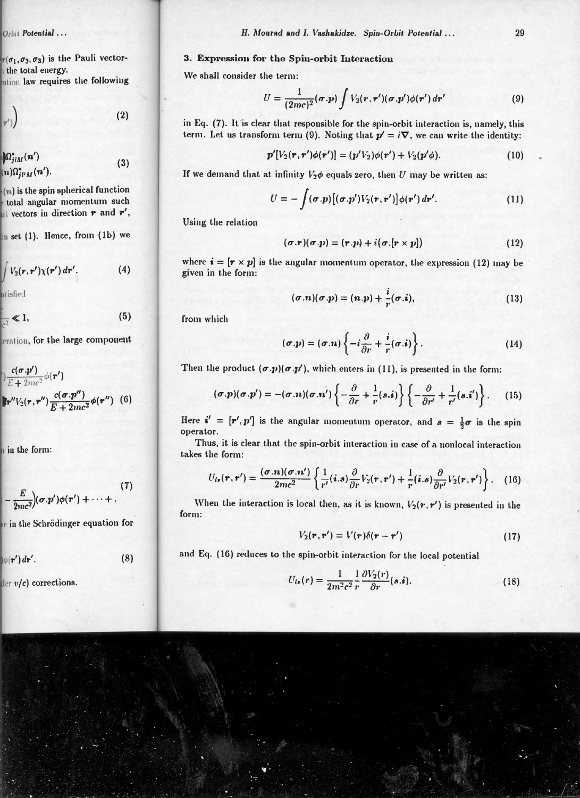## 3. Expression for the Spin-orbit Interaction

We shall consider the term:

$$
U = \frac{1}{(2mc)^2}(\boldsymbol{\sigma}.\boldsymbol{p}) \int V_2(\boldsymbol{r}, \boldsymbol{r}')(\boldsymbol{\sigma}.\boldsymbol{p}') \phi(\boldsymbol{r}') d\boldsymbol{r}' \qquad (9)
$$

in Eq. (7). It is clear that responsible for the spin-orbit interaction is, namely, this term. Let us transform term (9). Noting that  $p' = i \nabla$ , we can write the identity:

$$
p'[V_2(r,r')\phi(r')] = (p'V_2)\phi(r') + V_2(p'\phi). \qquad (10)
$$

If we demand that at infinity  $V_2\phi$  equals zero, then U may be written as:

$$
U = -\int (\boldsymbol{\sigma}.\boldsymbol{p}) \big[ (\boldsymbol{\sigma}.\boldsymbol{p}') V_2(\boldsymbol{r},\boldsymbol{r}') \big] \phi(\boldsymbol{r}') d\boldsymbol{r}'. \qquad (11)
$$

Using the relation

$$
(\sigma \cdot r)(\sigma \cdot p) = (r \cdot p) + i(\sigma \cdot [r \times p]) \tag{12}
$$

where  $\mathbf{i} = [\mathbf{r} \times \mathbf{p}]$  is the angular momentum operator, the expression (12) may be given in the form :

$$
(\sigma.n)(\sigma.p) = (n.p) + \frac{i}{r}(\sigma.i), \qquad (13)
$$

from which

$$
(\sigma.p) = (\sigma.n) \left\{ -i \frac{\partial}{\partial r} + \frac{i}{r} (\sigma.i) \right\}.
$$
 (14)

Then the product  $(\sigma.p)(\sigma.p')$ , which enters in (11), is presented in the form:

$$
(\boldsymbol{\sigma}.\boldsymbol{p})(\boldsymbol{\sigma}.\boldsymbol{p}') = -(\boldsymbol{\sigma}.\boldsymbol{n})(\boldsymbol{\sigma}.\boldsymbol{n}')\left\{-\frac{\partial}{\partial r} + \frac{1}{r}(s.\boldsymbol{i})\right\}\left\{-\frac{\partial}{\partial r'} + \frac{1}{r'}(s.\boldsymbol{i}')\right\}.
$$
 (15)

Here  $\mathbf{i}' = [\mathbf{r}', \mathbf{p}']$  is the angular momentum operator, and  $\mathbf{s} = \frac{1}{2}\boldsymbol{\sigma}$  is the spin operator.

Thus, it is clear that the spin-orbit interaction in case of a nonlocal interaction takes the form:

$$
U_{ls}(\mathbf{r},\mathbf{r}')=\frac{(\boldsymbol{\sigma}.\mathbf{n})(\boldsymbol{\sigma}.\mathbf{n}')}{2mc^2}\left\{\frac{1}{r'}(i.s)\frac{\partial}{\partial r}V_2(\mathbf{r},\mathbf{r}')+\frac{1}{r}(i.s)\frac{\partial}{\partial r'}V_2(\mathbf{r},\mathbf{r}')\right\}.
$$
 (16)

When the interaction is local then, as it is known,  $V_2(\mathbf{r}, \mathbf{r}')$  is presented in the form:

$$
V_2(\mathbf{r}, \mathbf{r}') = V(\mathbf{r})\delta(\mathbf{r} - \mathbf{r}') \tag{17}
$$

and Eq. (16) reduces to the spin-orbit interaction for the local potential

$$
U_{ls}(r) = \frac{1}{2m^2c^2} \frac{1}{r} \frac{\partial V_2(r)}{\partial r}(s.\mathbf{i}).
$$
\n(18)